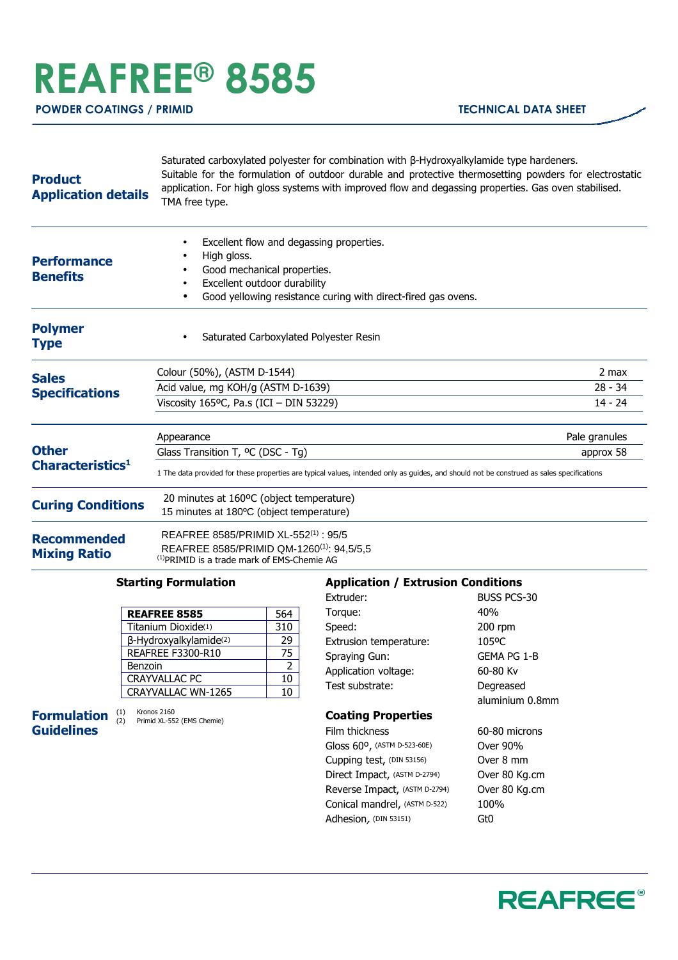# **REAFREE® 8585**

**POWDER COATINGS / PRIMID TECHNICAL DATA SHEET** 

#### **Product Application details** Saturated carboxylated polyester for combination with β-Hydroxyalkylamide type hardeners. Suitable for the formulation of outdoor durable and protective thermosetting powders for electrostatic application. For high gloss systems with improved flow and degassing properties. Gas oven stabilised. TMA free type. **Performance Benefits** Excellent flow and degassing properties. High gloss. Good mechanical properties. Excellent outdoor durability Good yellowing resistance curing with direct-fired gas ovens. **Polymer Type** • Saturated Carboxylated Polyester Resin **Sales Specifications** Colour (50%), (ASTM D-1544) 2 max Acid value, mg KOH/g (ASTM D-1639) 28 - 34 Viscosity 165°C, Pa.s (ICI – DIN 53229) 14 - 24 **Other Characteristics<sup>1</sup>** Appearance **Pale granules Pale granules Pale granules** Glass Transition T, <sup>o</sup>C (DSC - Tg) approx 58 1 The data provided for these properties are typical values, intended only as guides, and should not be construed as sales specifications **Curing Conditions** 20 minutes at 160<sup>o</sup>C (object temperature) 15 minutes at 180ºC (object temperature) **Recommended Mixing Ratio** REAFREE 8585/PRIMID XL-552(1) : 95/5 REAFREE 8585/PRIMID QM-1260(1): 94,5/5,5 (1)PRIMID is a trade mark of EMS-Chemie AG

### **Starting Formulation**

| <b>REAFREE 8585</b>       | 564 |
|---------------------------|-----|
| Titanium Dioxide(1)       | 310 |
| β-Hydroxyalkylamide(2)    | 29  |
| <b>REAFREE F3300-R10</b>  | 75  |
| <b>Benzoin</b>            | 2   |
| <b>CRAYVALLAC PC</b>      | 10  |
| <b>CRAYVALLAC WN-1265</b> | 10  |

**Formulation Guidelines**

(1) Kronos 2160 (2) Primid XL-552 (EMS Chemie)

## **Application / Extrusion Conditions**

| Extruder:                             | <b>BUSS PCS-30</b> |
|---------------------------------------|--------------------|
| Torque:                               | 40%                |
| Speed:                                | 200 rpm            |
| Extrusion temperature:                | 105°C              |
| Spraying Gun:                         | GEMA PG 1-B        |
| Application voltage:                  | 60-80 Kv           |
| Test substrate:                       | Degreased          |
|                                       | aluminium 0.8mm    |
| <b>Coating Properties</b>             |                    |
| Film thickness                        | 60-80 microns      |
| Gloss $60^{\circ}$ , (ASTM D-523-60E) | Over 90%           |
| Cupping test, (DIN 53156)             | Over 8 mm          |
| Direct Impact, (ASTM D-2794)          | Over 80 Kg.cm      |
| Reverse Impact, (ASTM D-2794)         | Over 80 Kg.cm      |
| Conical mandrel, (ASTM D-522)         | 100%               |
| Adhesion, (DIN 53151)                 | Gt0                |
|                                       |                    |